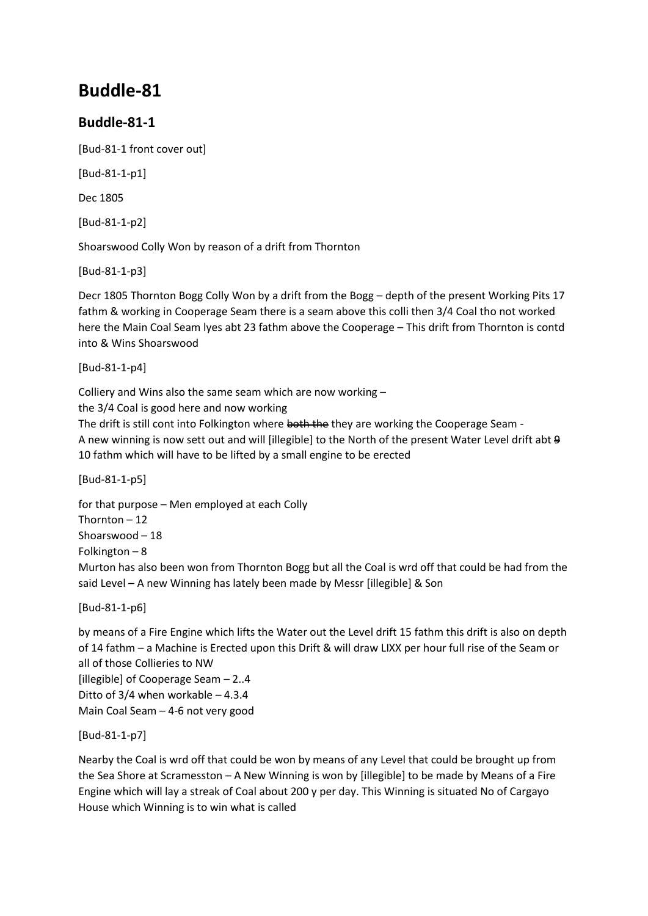## **Buddle-81**

## **Buddle-81-1**

[Bud-81-1 front cover out]

[Bud-81-1-p1]

Dec 1805

[Bud-81-1-p2]

Shoarswood Colly Won by reason of a drift from Thornton

[Bud-81-1-p3]

Decr 1805 Thornton Bogg Colly Won by a drift from the Bogg – depth of the present Working Pits 17 fathm & working in Cooperage Seam there is a seam above this colli then 3/4 Coal tho not worked here the Main Coal Seam lyes abt 23 fathm above the Cooperage – This drift from Thornton is contd into & Wins Shoarswood

[Bud-81-1-p4]

Colliery and Wins also the same seam which are now working –

the 3/4 Coal is good here and now working

The drift is still cont into Folkington where both the they are working the Cooperage Seam -A new winning is now sett out and will [illegible] to the North of the present Water Level drift abt 9 10 fathm which will have to be lifted by a small engine to be erected

[Bud-81-1-p5]

for that purpose – Men employed at each Colly Thornton – 12 Shoarswood – 18 Folkington – 8 Murton has also been won from Thornton Bogg but all the Coal is wrd off that could be had from the said Level – A new Winning has lately been made by Messr [illegible] & Son

[Bud-81-1-p6]

by means of a Fire Engine which lifts the Water out the Level drift 15 fathm this drift is also on depth of 14 fathm – a Machine is Erected upon this Drift & will draw LIXX per hour full rise of the Seam or all of those Collieries to NW

[illegible] of Cooperage Seam – 2..4 Ditto of 3/4 when workable – 4.3.4 Main Coal Seam – 4-6 not very good

[Bud-81-1-p7]

Nearby the Coal is wrd off that could be won by means of any Level that could be brought up from the Sea Shore at Scramesston – A New Winning is won by [illegible] to be made by Means of a Fire Engine which will lay a streak of Coal about 200 y per day. This Winning is situated No of Cargayo House which Winning is to win what is called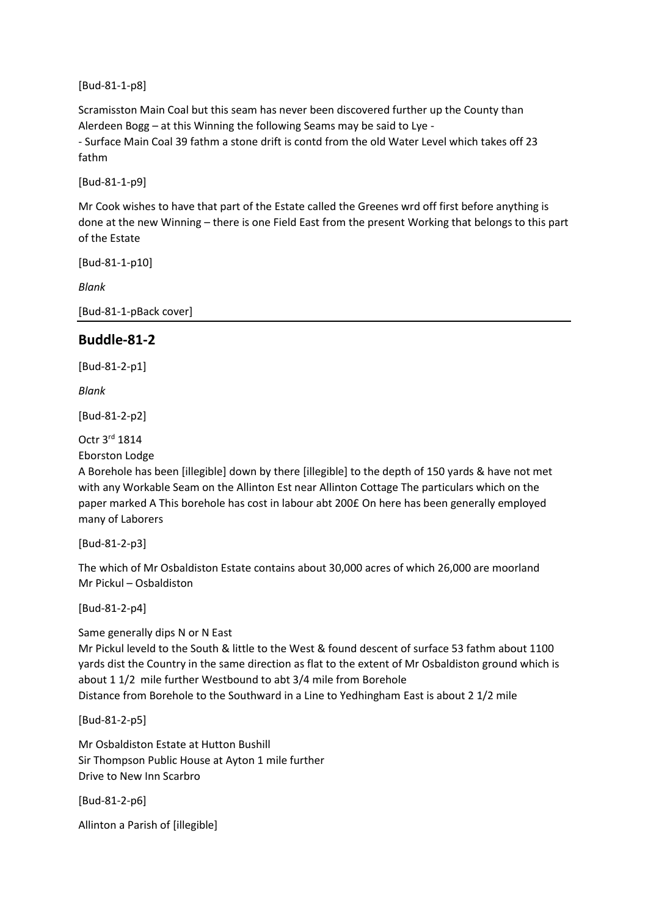[Bud-81-1-p8]

Scramisston Main Coal but this seam has never been discovered further up the County than Alerdeen Bogg – at this Winning the following Seams may be said to Lye -

- Surface Main Coal 39 fathm a stone drift is contd from the old Water Level which takes off 23 fathm

[Bud-81-1-p9]

Mr Cook wishes to have that part of the Estate called the Greenes wrd off first before anything is done at the new Winning – there is one Field East from the present Working that belongs to this part of the Estate

[Bud-81-1-p10]

*Blank*

[Bud-81-1-pBack cover]

## **Buddle-81-2**

[Bud-81-2-p1]

*Blank*

[Bud-81-2-p2]

Octr 3rd 1814

Eborston Lodge

A Borehole has been [illegible] down by there [illegible] to the depth of 150 yards & have not met with any Workable Seam on the Allinton Est near Allinton Cottage The particulars which on the paper marked A This borehole has cost in labour abt 200£ On here has been generally employed many of Laborers

[Bud-81-2-p3]

The which of Mr Osbaldiston Estate contains about 30,000 acres of which 26,000 are moorland Mr Pickul – Osbaldiston

[Bud-81-2-p4]

Same generally dips N or N East

Mr Pickul leveld to the South & little to the West & found descent of surface 53 fathm about 1100 yards dist the Country in the same direction as flat to the extent of Mr Osbaldiston ground which is about 1 1/2 mile further Westbound to abt 3/4 mile from Borehole Distance from Borehole to the Southward in a Line to Yedhingham East is about 2 1/2 mile

[Bud-81-2-p5]

Mr Osbaldiston Estate at Hutton Bushill Sir Thompson Public House at Ayton 1 mile further Drive to New Inn Scarbro

[Bud-81-2-p6]

Allinton a Parish of [illegible]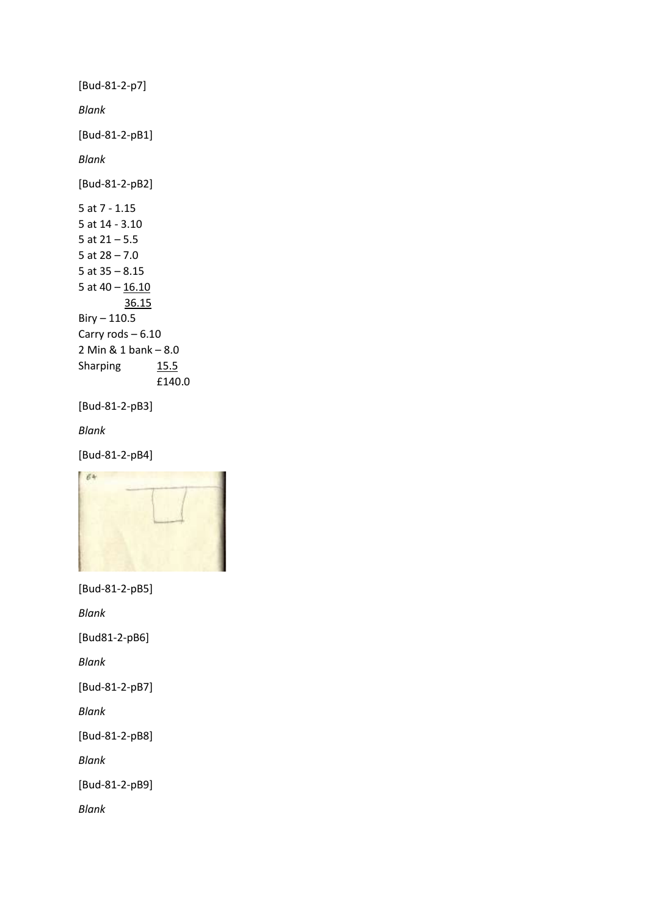```
[Bud-81-2-p7]
Blank
[Bud-81-2-pB1]
Blank
[Bud-81-2-pB2]
5 at 7 - 1.15
5 at 14 - 3.10
5 at 21 – 5.5
5 at 28 – 7.0
5 at 35 – 8.15
5 at 40 - 16.10 36.15
Biry - 110.5Carry rods – 6.10
2 Min & 1 bank – 8.0
Sharping 15.5
               £140.0 
[Bud-81-2-pB3]
Blank
```

```
[Bud-81-2-pB4]
```


```
[Bud-81-2-pB5]
```
*Blank*

[Bud81-2-pB6]

*Blank*

[Bud-81-2-pB7]

*Blank*

[Bud-81-2-pB8]

*Blank*

[Bud-81-2-pB9]

*Blank*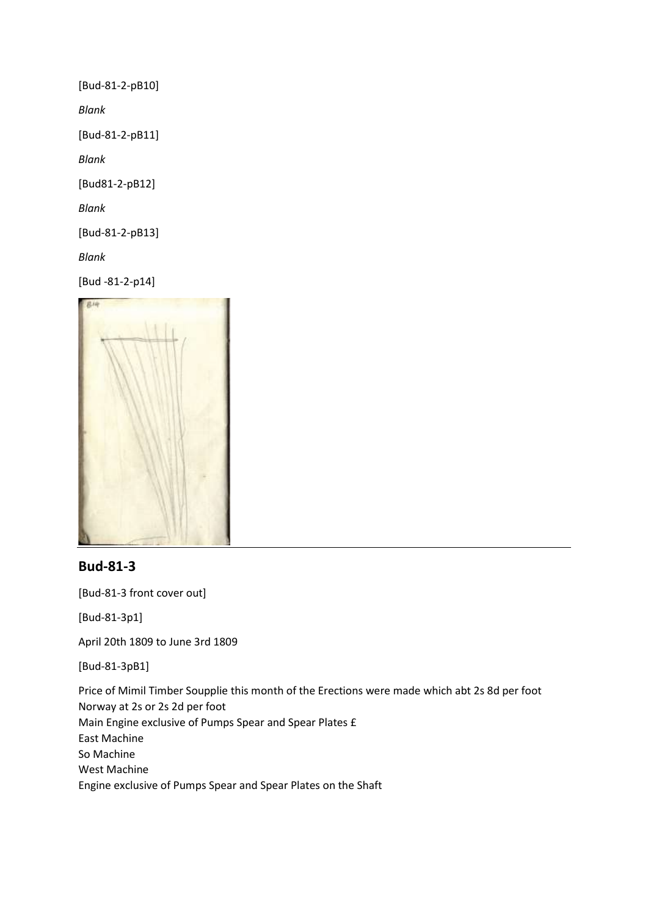[Bud-81-2-pB10]

*Blank*

[Bud-81-2-pB11]

*Blank*

[Bud81-2-pB12]

*Blank*

[Bud-81-2-pB13]

*Blank*

[Bud -81-2-p14]



## **Bud-81-3**

[Bud-81-3 front cover out]

[Bud-81-3p1]

April 20th 1809 to June 3rd 1809

[Bud-81-3pB1]

Price of Mimil Timber Soupplie this month of the Erections were made which abt 2s 8d per foot Norway at 2s or 2s 2d per foot Main Engine exclusive of Pumps Spear and Spear Plates £ East Machine So Machine West Machine Engine exclusive of Pumps Spear and Spear Plates on the Shaft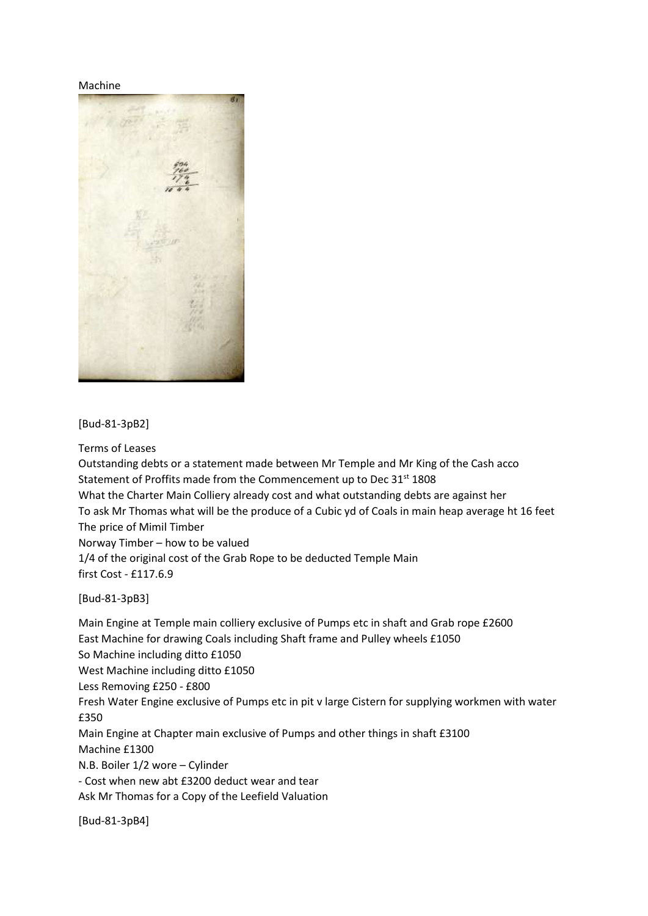Machine



[Bud-81-3pB2]

Terms of Leases

Outstanding debts or a statement made between Mr Temple and Mr King of the Cash acco Statement of Proffits made from the Commencement up to Dec 31<sup>st</sup> 1808 What the Charter Main Colliery already cost and what outstanding debts are against her To ask Mr Thomas what will be the produce of a Cubic yd of Coals in main heap average ht 16 feet The price of Mimil Timber Norway Timber – how to be valued

1/4 of the original cost of the Grab Rope to be deducted Temple Main first Cost - £117.6.9

[Bud-81-3pB3]

Main Engine at Temple main colliery exclusive of Pumps etc in shaft and Grab rope £2600 East Machine for drawing Coals including Shaft frame and Pulley wheels £1050 So Machine including ditto £1050 West Machine including ditto £1050 Less Removing £250 - £800 Fresh Water Engine exclusive of Pumps etc in pit v large Cistern for supplying workmen with water £350 Main Engine at Chapter main exclusive of Pumps and other things in shaft £3100 Machine £1300 N.B. Boiler 1/2 wore – Cylinder - Cost when new abt £3200 deduct wear and tear Ask Mr Thomas for a Copy of the Leefield Valuation

[Bud-81-3pB4]